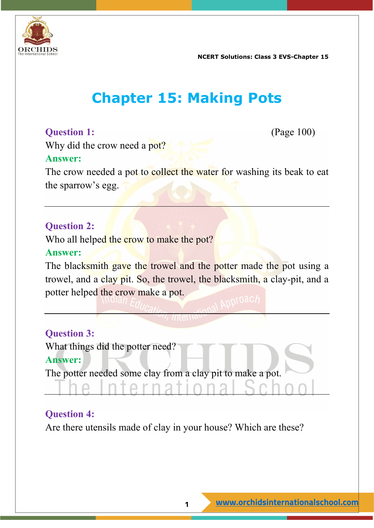

**NCERT Solutions: Class 3 EVS-Chapter 15**

# **Chapter 15: Making Pots**

## **Question 1:** (Page 100)

Why did the crow need a pot?

#### **Answer:**

The crow needed a pot to collect the water for washing its beak to eat the sparrow's egg.

#### **Question 2:**

Who all helped the crow to make the pot?

#### **Answer:**

The blacksmith gave the trowel and the potter made the pot using a trowel, and a clay pit. So, the trowel, the blacksmith, a clay-pit, and a potter helped the crow make a pot.

#### **Question 3:**

What things did the potter need?

#### **Answer:**

The potter needed some clay from a clay pit to make a pot.

 $\Box$ 

#### **Question 4:**

Are there utensils made of clay in your house? Which are these?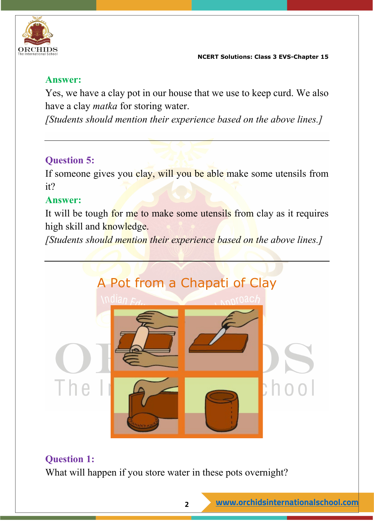

#### **Answer:**

Yes, we have a clay pot in our house that we use to keep curd. We also have a clay *matka* for storing water.

*[Students should mention their experience based on the above lines.]*

# **Question 5:**

If someone gives you clay, will you be able make some utensils from it?

## **Answer:**

It will be tough for me to make some utensils from clay as it requires high skill and knowledge.

*[Students should mention their experience based on the above lines.]*



# **Question 1:**

What will happen if you store water in these pots overnight?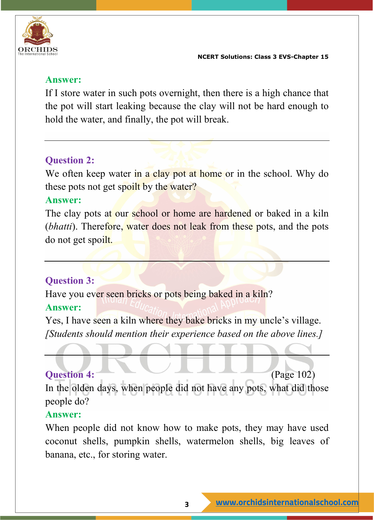

#### **Answer:**

If I store water in such pots overnight, then there is a high chance that the pot will start leaking because the clay will not be hard enough to hold the water, and finally, the pot will break.

# **Question 2:**

We often keep water in a clay pot at home or in the school. Why do these pots not get spoilt by the water?

#### **Answer:**

The clay pots at our school or home are hardened or baked in a kiln (*bhatti*). Therefore, water does not leak from these pots, and the pots do not get spoilt.

## **Question 3:**

Have you ever seen bricks or pots being baked in a kiln?

## **Answer:**

Yes, I have seen a kiln where they bake bricks in my uncle's village. *[Students should mention their experience based on the above lines.]*

# **Question 4:** (Page 102)

In the olden days, when people did not have any pots, what did those people do?

#### **Answer:**

When people did not know how to make pots, they may have used coconut shells, pumpkin shells, watermelon shells, big leaves of banana, etc., for storing water.